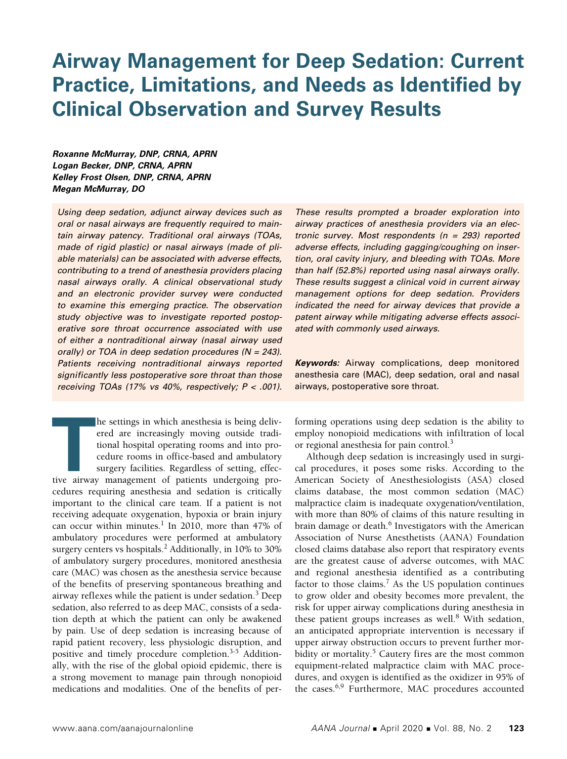# **Airway Management for Deep Sedation: Current Practice, Limitations, and Needs as Identified by Clinical Observation and Survey Results**

*Roxanne McMurray, DNP, CRNA, APRN Logan Becker, DNP, CRNA, APRN Kelley Frost Olsen, DNP, CRNA, APRN Megan McMurray, DO*

*Using deep sedation, adjunct airway devices such as oral or nasal airways are frequently required to maintain airway patency. Traditional oral airways (TOAs, made of rigid plastic) or nasal airways (made of pliable materials) can be associated with adverse effects, contributing to a trend of anesthesia providers placing nasal airways orally. A clinical observational study and an electronic provider survey were conducted to examine this emerging practice. The observation study objective was to investigate reported postoperative sore throat occurrence associated with use of either a nontraditional airway (nasal airway used orally) or TOA in deep sedation procedures (N = 243). Patients receiving nontraditional airways reported significantly less postoperative sore throat than those receiving TOAs (17% vs 40%, respectively; P < .001).* 

**THE MANUS IS A THE ALL AND THE SET AND THE SET AND THE SET AND THE SET AND THE SET AND THE SET AND THE SURVEY SURGER AND SURGER SURGER AND SURGER AND SURGER AND SURGER AND SURGER AND SURGER AND SURGER AND SURGER AND SURGE** he settings in which anesthesia is being delivered are increasingly moving outside traditional hospital operating rooms and into procedure rooms in office-based and ambulatory surgery facilities. Regardless of setting, effeccedures requiring anesthesia and sedation is critically important to the clinical care team. If a patient is not receiving adequate oxygenation, hypoxia or brain injury can occur within minutes.<sup>1</sup> In 2010, more than 47% of ambulatory procedures were performed at ambulatory surgery centers vs hospitals.<sup>2</sup> Additionally, in 10% to 30% of ambulatory surgery procedures, monitored anesthesia care (MAC) was chosen as the anesthesia service because of the benefits of preserving spontaneous breathing and airway reflexes while the patient is under sedation.<sup>3</sup> Deep sedation, also referred to as deep MAC, consists of a sedation depth at which the patient can only be awakened by pain. Use of deep sedation is increasing because of rapid patient recovery, less physiologic disruption, and positive and timely procedure completion.<sup>3-5</sup> Additionally, with the rise of the global opioid epidemic, there is a strong movement to manage pain through nonopioid medications and modalities. One of the benefits of per*These results prompted a broader exploration into airway practices of anesthesia providers via an electronic survey. Most respondents (n = 293) reported adverse effects, including gagging/coughing on insertion, oral cavity injury, and bleeding with TOAs. More than half (52.8%) reported using nasal airways orally. These results suggest a clinical void in current airway management options for deep sedation. Providers indicated the need for airway devices that provide a patent airway while mitigating adverse effects associated with commonly used airways.* 

*Keywords:* Airway complications, deep monitored anesthesia care (MAC), deep sedation, oral and nasal airways, postoperative sore throat.

forming operations using deep sedation is the ability to employ nonopioid medications with infiltration of local or regional anesthesia for pain control.<sup>3</sup>

Although deep sedation is increasingly used in surgical procedures, it poses some risks. According to the American Society of Anesthesiologists (ASA) closed claims database, the most common sedation (MAC) malpractice claim is inadequate oxygenation/ventilation, with more than 80% of claims of this nature resulting in brain damage or death.<sup>6</sup> Investigators with the American Association of Nurse Anesthetists (AANA) Foundation closed claims database also report that respiratory events are the greatest cause of adverse outcomes, with MAC and regional anesthesia identified as a contributing factor to those claims.<sup>7</sup> As the US population continues to grow older and obesity becomes more prevalent, the risk for upper airway complications during anesthesia in these patient groups increases as well.<sup>8</sup> With sedation, an anticipated appropriate intervention is necessary if upper airway obstruction occurs to prevent further morbidity or mortality.<sup>5</sup> Cautery fires are the most common equipment-related malpractice claim with MAC procedures, and oxygen is identified as the oxidizer in 95% of the cases.<sup>6,9</sup> Furthermore, MAC procedures accounted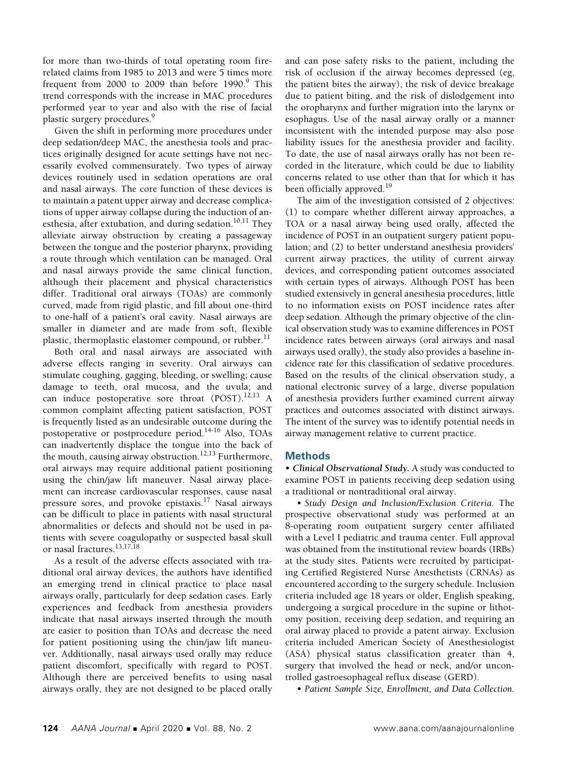for more than two-thirds of total operating room firerelated claims from 1985 to 2013 and were 5 times more frequent from 2000 to 2009 than before 1990.<sup>9</sup> This trend corresponds with the increase in MAC procedures performed year to year and also with the rise of facial plastic surgery procedures.<sup>9</sup>

Given the shift in performing more procedures under deep sedation/deep MAC, the anesthesia tools and practices originally designed for acute settings have not necessarily evolved commensurately. Two types of airway devices routinely used in sedation operations are oral and nasal airways. The core function of these devices is to maintain a patent upper airway and decrease complications of upper airway collapse during the induction of anesthesia, after extubation, and during sedation.<sup>10,11</sup> They alleviate airway obstruction by creating a passageway between the tongue and the posterior pharynx, providing a route through which ventilation can be managed. Oral and nasal airways provide the same clinical function, although their placement and physical characteristics differ. Traditional oral airways (TOAs) are commonly curved, made from rigid plastic, and fill about one-third to one-half of a patient's oral cavity. Nasal airways are smaller in diameter and are made from soft, flexible plastic, thermoplastic elastomer compound, or rubber.<sup>11</sup>

Both oral and nasal airways are associated with adverse effects ranging in severity. Oral airways can stimulate coughing, gagging, bleeding, or swelling; cause damage to teeth, oral mucosa, and the uvula; and can induce postoperative sore throat  $(POST).^{12,13}$  A common complaint affecting patient satisfaction, POST is frequently listed as an undesirable outcome during the postoperative or postprocedure period.<sup>14-16</sup> Also, TOAs can inadvertently displace the tongue into the back of the mouth, causing airway obstruction.<sup>12,13</sup> Furthermore, oral airways may require additional patient positioning using the chin/jaw lift maneuver. Nasal airway placement can increase cardiovascular responses, cause nasal pressure sores, and provoke epistaxis.17 Nasal airways can be difficult to place in patients with nasal structural abnormalities or defects and should not be used in patients with severe coagulopathy or suspected basal skull or nasal fractures.<sup>13,17,18</sup>

As a result of the adverse effects associated with traditional oral airway devices, the authors have identified an emerging trend in clinical practice to place nasal airways orally, particularly for deep sedation cases. Early experiences and feedback from anesthesia providers indicate that nasal airways inserted through the mouth are easier to position than TOAs and decrease the need for patient positioning using the chin/jaw lift maneuver. Additionally, nasal airways used orally may reduce patient discomfort, specifically with regard to POST. Although there are perceived benefits to using nasal airways orally, they are not designed to be placed orally and can pose safety risks to the patient, including the risk of occlusion if the airway becomes depressed (eg, the patient bites the airway), the risk of device breakage due to patient biting, and the risk of dislodgement into the oropharynx and further migration into the larynx or esophagus. Use of the nasal airway orally or a manner inconsistent with the intended purpose may also pose liability issues for the anesthesia provider and facility. To date, the use of nasal airways orally has not been recorded in the literature, which could be due to liability concerns related to use other than that for which it has been officially approved.<sup>19</sup>

The aim of the investigation consisted of 2 objectives: (1) to compare whether different airway approaches, a TOA or a nasal airway being used orally, affected the incidence of POST in an outpatient surgery patient population; and (2) to better understand anesthesia providers' current airway practices, the utility of current airway devices, and corresponding patient outcomes associated with certain types of airways. Although POST has been studied extensively in general anesthesia procedures, little to no information exists on POST incidence rates after deep sedation. Although the primary objective of the clinical observation study was to examine differences in POST incidence rates between airways (oral airways and nasal airways used orally), the study also provides a baseline incidence rate for this classification of sedative procedures. Based on the results of the clinical observation study, a national electronic survey of a large, diverse population of anesthesia providers further examined current airway practices and outcomes associated with distinct airways. The intent of the survey was to identify potential needs in airway management relative to current practice.

## **Methods**

• *Clinical Observational Study.* A study was conducted to examine POST in patients receiving deep sedation using a traditional or nontraditional oral airway.

• *Study Design and Inclusion/Exclusion Criteria.* The prospective observational study was performed at an 8-operating room outpatient surgery center affiliated with a Level I pediatric and trauma center. Full approval was obtained from the institutional review boards (IRBs) at the study sites. Patients were recruited by participating Certified Registered Nurse Anesthetists (CRNAs) as encountered according to the surgery schedule. Inclusion criteria included age 18 years or older, English speaking, undergoing a surgical procedure in the supine or lithotomy position, receiving deep sedation, and requiring an oral airway placed to provide a patent airway. Exclusion criteria included American Society of Anesthesiologist (ASA) physical status classification greater than 4, surgery that involved the head or neck, and/or uncontrolled gastroesophageal reflux disease (GERD).

• *Patient Sample Size, Enrollment, and Data Collection.*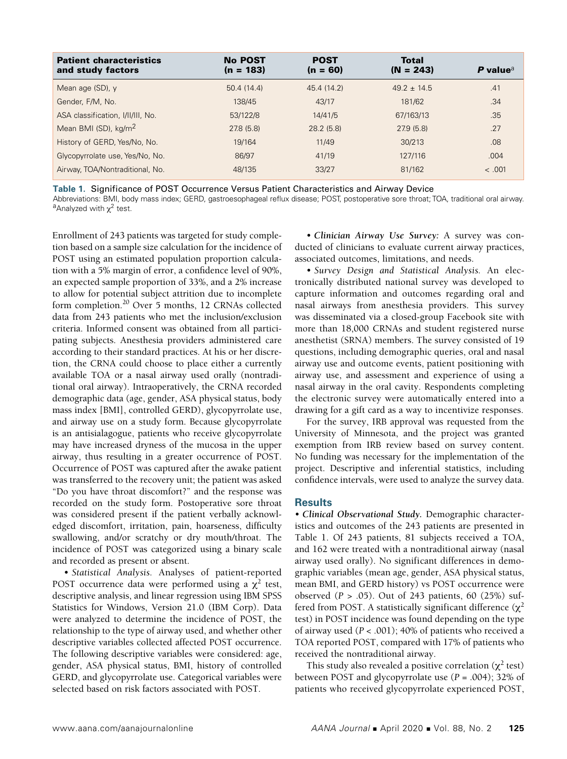| <b>Patient characteristics</b><br>and study factors | <b>No POST</b><br>$(n = 183)$ | <b>POST</b><br>$(n = 60)$ | <b>Total</b><br>$(N = 243)$ | P value $a$ |
|-----------------------------------------------------|-------------------------------|---------------------------|-----------------------------|-------------|
| Mean age (SD), y                                    | 50.4 (14.4)                   | 45.4 (14.2)               | $49.2 \pm 14.5$             | .41         |
| Gender, F/M, No.                                    | 138/45                        | 43/17                     | 181/62                      | .34         |
| ASA classification, I/II/III, No.                   | 53/122/8                      | 14/41/5                   | 67/163/13                   | .35         |
| Mean BMI (SD), kg/m <sup>2</sup>                    | 27.8(5.8)                     | 28.2(5.8)                 | 27.9(5.8)                   | .27         |
| History of GERD, Yes/No, No.                        | 19/164                        | 11/49                     | 30/213                      | .08         |
| Glycopyrrolate use, Yes/No, No.                     | 86/97                         | 41/19                     | 127/116                     | .004        |
| Airway, TOA/Nontraditional, No.                     | 48/135                        | 33/27                     | 81/162                      | < .001      |

**Table 1.** Significance of POST Occurrence Versus Patient Characteristics and Airway Device

Abbreviations: BMI, body mass index; GERD, gastroesophageal reflux disease; POST, postoperative sore throat; TOA, traditional oral airway. <sup>a</sup>Analyzed with  $\chi^2$  test.

Enrollment of 243 patients was targeted for study completion based on a sample size calculation for the incidence of POST using an estimated population proportion calculation with a 5% margin of error, a confidence level of 90%, an expected sample proportion of 33%, and a 2% increase to allow for potential subject attrition due to incomplete form completion.<sup>20</sup> Over 5 months, 12 CRNAs collected data from 243 patients who met the inclusion/exclusion criteria. Informed consent was obtained from all participating subjects. Anesthesia providers administered care according to their standard practices. At his or her discretion, the CRNA could choose to place either a currently available TOA or a nasal airway used orally (nontraditional oral airway). Intraoperatively, the CRNA recorded demographic data (age, gender, ASA physical status, body mass index [BMI], controlled GERD), glycopyrrolate use, and airway use on a study form. Because glycopyrrolate is an antisialagogue, patients who receive glycopyrrolate may have increased dryness of the mucosa in the upper airway, thus resulting in a greater occurrence of POST. Occurrence of POST was captured after the awake patient was transferred to the recovery unit; the patient was asked "Do you have throat discomfort?" and the response was recorded on the study form. Postoperative sore throat was considered present if the patient verbally acknowledged discomfort, irritation, pain, hoarseness, difficulty swallowing, and/or scratchy or dry mouth/throat. The incidence of POST was categorized using a binary scale and recorded as present or absent.

• *Statistical Analysis.* Analyses of patient-reported POST occurrence data were performed using a  $\chi^2$  test, descriptive analysis, and linear regression using IBM SPSS Statistics for Windows, Version 21.0 (IBM Corp). Data were analyzed to determine the incidence of POST, the relationship to the type of airway used, and whether other descriptive variables collected affected POST occurrence. The following descriptive variables were considered: age, gender, ASA physical status, BMI, history of controlled GERD, and glycopyrrolate use. Categorical variables were selected based on risk factors associated with POST.

• *Clinician Airway Use Survey:* A survey was conducted of clinicians to evaluate current airway practices, associated outcomes, limitations, and needs.

• *Survey Design and Statistical Analysis.* An electronically distributed national survey was developed to capture information and outcomes regarding oral and nasal airways from anesthesia providers. This survey was disseminated via a closed-group Facebook site with more than 18,000 CRNAs and student registered nurse anesthetist (SRNA) members. The survey consisted of 19 questions, including demographic queries, oral and nasal airway use and outcome events, patient positioning with airway use, and assessment and experience of using a nasal airway in the oral cavity. Respondents completing the electronic survey were automatically entered into a drawing for a gift card as a way to incentivize responses.

For the survey, IRB approval was requested from the University of Minnesota, and the project was granted exemption from IRB review based on survey content. No funding was necessary for the implementation of the project. Descriptive and inferential statistics, including confidence intervals, were used to analyze the survey data.

## **Results**

• *Clinical Observational Study.* Demographic characteristics and outcomes of the 243 patients are presented in Table 1. Of 243 patients, 81 subjects received a TOA, and 162 were treated with a nontraditional airway (nasal airway used orally). No significant differences in demographic variables (mean age, gender, ASA physical status, mean BMI, and GERD history) vs POST occurrence were observed (*P* > .05). Out of 243 patients, 60 (25%) suffered from POST. A statistically significant difference  $(\chi^2)$ test) in POST incidence was found depending on the type of airway used (*P* < .001); 40% of patients who received a TOA reported POST, compared with 17% of patients who received the nontraditional airway.

This study also revealed a positive correlation ( $\chi^2$  test) between POST and glycopyrrolate use (*P* = .004); 32% of patients who received glycopyrrolate experienced POST,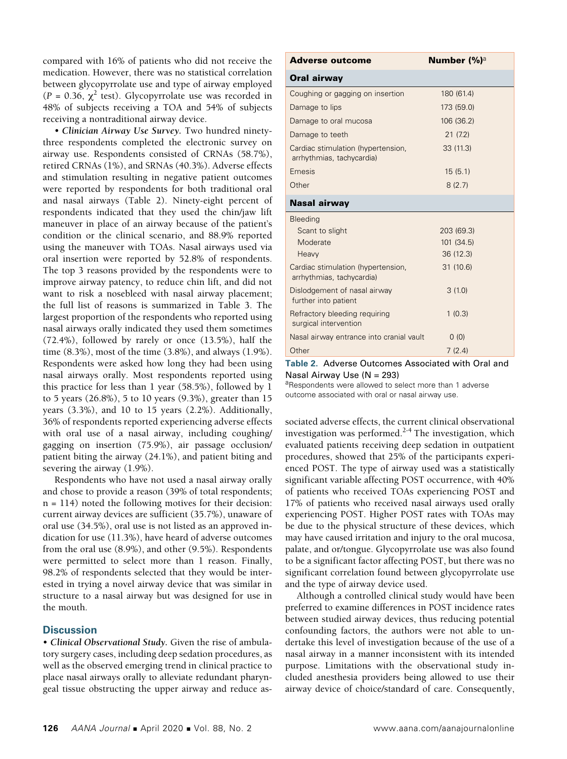compared with 16% of patients who did not receive the medication. However, there was no statistical correlation between glycopyrrolate use and type of airway employed  $(P = 0.36, \chi^2 \text{ test})$ . Glycopyrrolate use was recorded in 48% of subjects receiving a TOA and 54% of subjects receiving a nontraditional airway device.

• *Clinician Airway Use Survey.* Two hundred ninetythree respondents completed the electronic survey on airway use. Respondents consisted of CRNAs (58.7%), retired CRNAs (1%), and SRNAs (40.3%). Adverse effects and stimulation resulting in negative patient outcomes were reported by respondents for both traditional oral and nasal airways (Table 2). Ninety-eight percent of respondents indicated that they used the chin/jaw lift maneuver in place of an airway because of the patient's condition or the clinical scenario, and 88.9% reported using the maneuver with TOAs. Nasal airways used via oral insertion were reported by 52.8% of respondents. The top 3 reasons provided by the respondents were to improve airway patency, to reduce chin lift, and did not want to risk a nosebleed with nasal airway placement; the full list of reasons is summarized in Table 3. The largest proportion of the respondents who reported using nasal airways orally indicated they used them sometimes (72.4%), followed by rarely or once (13.5%), half the time (8.3%), most of the time (3.8%), and always (1.9%). Respondents were asked how long they had been using nasal airways orally. Most respondents reported using this practice for less than 1 year (58.5%), followed by 1 to 5 years (26.8%), 5 to 10 years (9.3%), greater than 15 years (3.3%), and 10 to 15 years (2.2%). Additionally, 36% of respondents reported experiencing adverse effects with oral use of a nasal airway, including coughing/ gagging on insertion (75.9%), air passage occlusion/ patient biting the airway (24.1%), and patient biting and severing the airway (1.9%).

Respondents who have not used a nasal airway orally and chose to provide a reason (39% of total respondents;  $n = 114$ ) noted the following motives for their decision: current airway devices are sufficient (35.7%), unaware of oral use (34.5%), oral use is not listed as an approved indication for use (11.3%), have heard of adverse outcomes from the oral use (8.9%), and other (9.5%). Respondents were permitted to select more than 1 reason. Finally, 98.2% of respondents selected that they would be interested in trying a novel airway device that was similar in structure to a nasal airway but was designed for use in the mouth.

## **Discussion**

• *Clinical Observational Study.* Given the rise of ambulatory surgery cases, including deep sedation procedures, as well as the observed emerging trend in clinical practice to place nasal airways orally to alleviate redundant pharyngeal tissue obstructing the upper airway and reduce as-

| <b>Adverse outcome</b>                                          | <b>Number (%)</b> <sup>a</sup> |  |
|-----------------------------------------------------------------|--------------------------------|--|
| Oral airway                                                     |                                |  |
| Coughing or gagging on insertion                                | 180 (61.4)                     |  |
| Damage to lips                                                  | 173 (59.0)                     |  |
| Damage to oral mucosa                                           | 106 (36.2)                     |  |
| Damage to teeth                                                 | 21(7.2)                        |  |
| Cardiac stimulation (hypertension,<br>arrhythmias, tachycardia) | 33 (11.3)                      |  |
| Emesis                                                          | 15(5.1)                        |  |
| Other                                                           | 8(2.7)                         |  |
| <b>Nasal airway</b>                                             |                                |  |
| Bleeding                                                        |                                |  |
| Scant to slight                                                 | 203 (69.3)                     |  |
| Moderate                                                        | 101 (34.5)                     |  |
| Heavy                                                           | 36 (12.3)                      |  |
| Cardiac stimulation (hypertension,<br>arrhythmias, tachycardia) | 31(10.6)                       |  |
| Dislodgement of nasal airway<br>further into patient            | 3(1.0)                         |  |
| Refractory bleeding requiring<br>surgical intervention          | 1(0.3)                         |  |
| Nasal airway entrance into cranial vault                        | 0(0)                           |  |
| Other                                                           | 7(2.4)                         |  |

**Table 2.** Adverse Outcomes Associated with Oral and Nasal Airway Use (N = 293)

aRespondents were allowed to select more than 1 adverse outcome associated with oral or nasal airway use.

sociated adverse effects, the current clinical observational investigation was performed. $2-4$  The investigation, which evaluated patients receiving deep sedation in outpatient procedures, showed that 25% of the participants experienced POST. The type of airway used was a statistically significant variable affecting POST occurrence, with 40% of patients who received TOAs experiencing POST and 17% of patients who received nasal airways used orally experiencing POST. Higher POST rates with TOAs may be due to the physical structure of these devices, which may have caused irritation and injury to the oral mucosa, palate, and or/tongue. Glycopyrrolate use was also found to be a significant factor affecting POST, but there was no significant correlation found between glycopyrrolate use and the type of airway device used.

Although a controlled clinical study would have been preferred to examine differences in POST incidence rates between studied airway devices, thus reducing potential confounding factors, the authors were not able to undertake this level of investigation because of the use of a nasal airway in a manner inconsistent with its intended purpose. Limitations with the observational study included anesthesia providers being allowed to use their airway device of choice/standard of care. Consequently,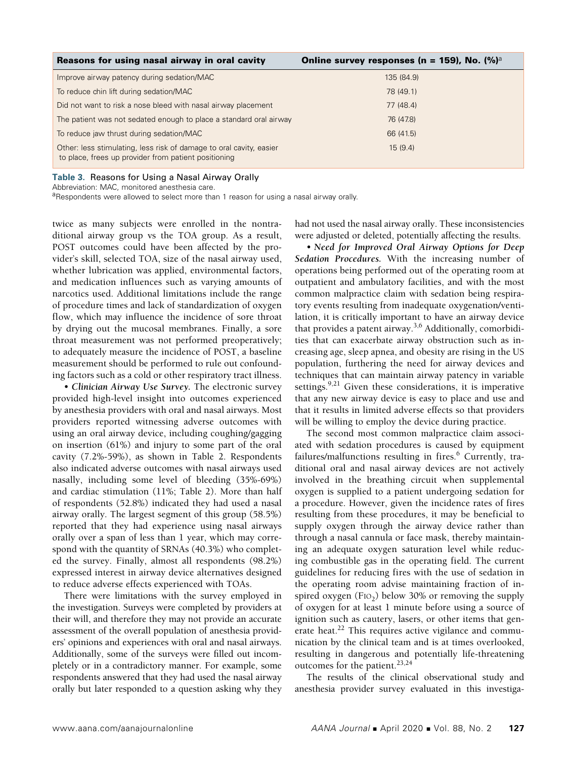| Reasons for using nasal airway in oral cavity                                                                               | Online survey responses (n = 159), No. $(\%)^{\circ}$ |
|-----------------------------------------------------------------------------------------------------------------------------|-------------------------------------------------------|
| Improve airway patency during sedation/MAC                                                                                  | 135 (84.9)                                            |
| To reduce chin lift during sedation/MAC                                                                                     | 78 (49.1)                                             |
| Did not want to risk a nose bleed with nasal airway placement                                                               | 77 (48.4)                                             |
| The patient was not sedated enough to place a standard oral airway                                                          | 76 (47.8)                                             |
| To reduce jaw thrust during sedation/MAC                                                                                    | 66 (41.5)                                             |
| Other: less stimulating, less risk of damage to oral cavity, easier<br>to place, frees up provider from patient positioning | 15(9.4)                                               |

**Table 3.** Reasons for Using a Nasal Airway Orally

Abbreviation: MAC, monitored anesthesia care.

aRespondents were allowed to select more than 1 reason for using a nasal airway orally.

twice as many subjects were enrolled in the nontraditional airway group vs the TOA group. As a result, POST outcomes could have been affected by the provider's skill, selected TOA, size of the nasal airway used, whether lubrication was applied, environmental factors, and medication influences such as varying amounts of narcotics used. Additional limitations include the range of procedure times and lack of standardization of oxygen flow, which may influence the incidence of sore throat by drying out the mucosal membranes. Finally, a sore throat measurement was not performed preoperatively; to adequately measure the incidence of POST, a baseline measurement should be performed to rule out confounding factors such as a cold or other respiratory tract illness.

• *Clinician Airway Use Survey.* The electronic survey provided high-level insight into outcomes experienced by anesthesia providers with oral and nasal airways. Most providers reported witnessing adverse outcomes with using an oral airway device, including coughing/gagging on insertion (61%) and injury to some part of the oral cavity (7.2%-59%), as shown in Table 2. Respondents also indicated adverse outcomes with nasal airways used nasally, including some level of bleeding (35%-69%) and cardiac stimulation (11%; Table 2). More than half of respondents (52.8%) indicated they had used a nasal airway orally. The largest segment of this group (58.5%) reported that they had experience using nasal airways orally over a span of less than 1 year, which may correspond with the quantity of SRNAs (40.3%) who completed the survey. Finally, almost all respondents (98.2%) expressed interest in airway device alternatives designed to reduce adverse effects experienced with TOAs.

There were limitations with the survey employed in the investigation. Surveys were completed by providers at their will, and therefore they may not provide an accurate assessment of the overall population of anesthesia providers' opinions and experiences with oral and nasal airways. Additionally, some of the surveys were filled out incompletely or in a contradictory manner. For example, some respondents answered that they had used the nasal airway orally but later responded to a question asking why they had not used the nasal airway orally. These inconsistencies were adjusted or deleted, potentially affecting the results.

• *Need for Improved Oral Airway Options for Deep Sedation Procedures.* With the increasing number of operations being performed out of the operating room at outpatient and ambulatory facilities, and with the most common malpractice claim with sedation being respiratory events resulting from inadequate oxygenation/ventilation, it is critically important to have an airway device that provides a patent airway.3,6 Additionally, comorbidities that can exacerbate airway obstruction such as increasing age, sleep apnea, and obesity are rising in the US population, furthering the need for airway devices and techniques that can maintain airway patency in variable settings.<sup>9,21</sup> Given these considerations, it is imperative that any new airway device is easy to place and use and that it results in limited adverse effects so that providers will be willing to employ the device during practice.

The second most common malpractice claim associated with sedation procedures is caused by equipment failures/malfunctions resulting in fires.<sup>6</sup> Currently, traditional oral and nasal airway devices are not actively involved in the breathing circuit when supplemental oxygen is supplied to a patient undergoing sedation for a procedure. However, given the incidence rates of fires resulting from these procedures, it may be beneficial to supply oxygen through the airway device rather than through a nasal cannula or face mask, thereby maintaining an adequate oxygen saturation level while reducing combustible gas in the operating field. The current guidelines for reducing fires with the use of sedation in the operating room advise maintaining fraction of inspired oxygen (F<sub>IO2</sub>) below 30% or removing the supply of oxygen for at least 1 minute before using a source of ignition such as cautery, lasers, or other items that generate heat. $^{22}$  This requires active vigilance and communication by the clinical team and is at times overlooked, resulting in dangerous and potentially life-threatening outcomes for the patient.<sup>23,24</sup>

The results of the clinical observational study and anesthesia provider survey evaluated in this investiga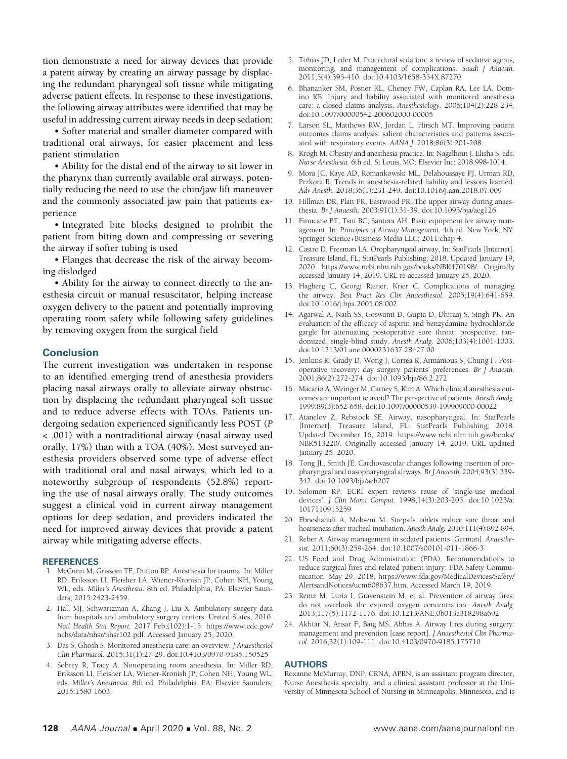tion demonstrate a need for airway devices that provide a patent airway by creating an airway passage by displacing the redundant pharyngeal soft tissue while mitigating adverse patient effects. In response to these investigations, the following airway attributes were identified that may be useful in addressing current airway needs in deep sedation:

• Softer material and smaller diameter compared with traditional oral airways, for easier placement and less patient stimulation

• Ability for the distal end of the airway to sit lower in the pharynx than currently available oral airways, potentially reducing the need to use the chin/jaw lift maneuver and the commonly associated jaw pain that patients experience

• Integrated bite blocks designed to prohibit the patient from biting down and compressing or severing the airway if softer tubing is used

• Flanges that decrease the risk of the airway becoming dislodged

• Ability for the airway to connect directly to the anesthesia circuit or manual resuscitator, helping increase oxygen delivery to the patient and potentially improving operating room safety while following safety guidelines by removing oxygen from the surgical field

# **Conclusion**

The current investigation was undertaken in response to an identified emerging trend of anesthesia providers placing nasal airways orally to alleviate airway obstruction by displacing the redundant pharyngeal soft tissue and to reduce adverse effects with TOAs. Patients undergoing sedation experienced significantly less POST (*P* < .001) with a nontraditional airway (nasal airway used orally, 17%) than with a TOA (40%). Most surveyed anesthesia providers observed some type of adverse effect with traditional oral and nasal airways, which led to a noteworthy subgroup of respondents (52.8%) reporting the use of nasal airways orally. The study outcomes suggest a clinical void in current airway management options for deep sedation, and providers indicated the need for improved airway devices that provide a patent airway while mitigating adverse effects.

#### **REFERENCES**

- 1. McCunn M, Grissom TE, Dutton RP. Anesthesia for trauma. In: Miller RD, Eriksson LI, Fleisher LA, Wiener-Kronish JP, Cohen NH, Young WL, eds. *Miller's Anesthesia.* 8th ed. Philadelphia, PA: Elsevier Saunders; 2015:2423-2459.
- 2. Hall MJ, Schwartzman A, Zhang J, Liu X. Ambulatory surgery data from hospitals and ambulatory surgery centers: United States, 2010. *Natl Health Stat Report.* 2017 Feb;(102):1-15. https://www.cdc.gov/ nchs/data/nhsr/nhsr102.pdf. Accessed January 25, 2020.
- 3. Das S, Ghosh S. Monitored anesthesia care: an overview. *J Anaesthesiol Clin Pharmacol.* 2015;31(1):27-29. doi:10.4103/0970-9185.150525
- 4. Sobrey R, Tracy A. Nonoperating room anesthesia. In: Miller RD, Eriksson LI, Fleisher LA, Wiener-Kronish JP, Cohen NH, Young WL, eds. *Miller's Anesthesia.* 8th ed. Philadelphia, PA: Elsevier Saunders; 2015:1580-1603.
- 5. Tobias JD, Leder M. Procedural sedation: a review of sedative agents, monitoring, and management of complications. *Saudi J Anaesth.*  2011;5(4):395-410. doi:10.4103/1658-354X.87270
- 6. Bhananker SM, Posner KL, Cheney FW, Caplan RA, Lee LA, Domino KB. Injury and liability associated with monitored anesthesia care: a closed claims analysis. *Anesthesiology.* 2006;104(2):228-234. doi:10.1097/00000542-200602000-00005
- 7. Larson SL, Matthews RW, Jordan L, Hirsch MT. Improving patient outcomes claims analysis: salient characteristics and patterns associated with respiratory events. *AANA J.* 2018;86(3):201-208.
- 8. Krogh M. Obesity and anesthesia practice. In: Nagelhout J, Elisha S, eds. *Nurse Anesthesia.* 6th ed. St Louis, MO: Elsevier Inc; 2018:998-1014.
- 9. Mora JC, Kaye AD, Romankowski ML, Delahoussaye PJ, Urman RD, Przkora R. Trends in anesthesia-related liability and lessons learned. *Adv Anesth.* 2018;36(1):231-249. doi:10.1016/j.aan.2018.07.009
- 10. Hillman DR, Platt PR, Eastwood PR. The upper airway during anaesthesia. *Br J Anaesth.* 2003;91(1):31-39. doi:10.1093/bja/aeg126
- 11. Finucane BT, Tsui BC, Santora AH. Basic equipment for airway management. In: *Principles of Airway Management.* 4th ed. New York, NY: Springer Science+Business Media LLC; 2011:chap 4.
- 12. Castro D, Freeman LA. Oropharyngeal airway, In: StatPearls [Internet]. Treasure Island, FL: StatPearls Publishing; 2018. Updated January 19, 2020. https://www.ncbi.nlm.nih.gov/books/NBK470198/. Originally accessed January 14, 2019. URL re-accessed January 25, 2020.
- 13. Hagberg C, Georgi Rainer, Krier C. Complications of managing the airway. *Best Pract Res Clin Anaesthesiol.* 2005;19(4):641-659. doi:10.1016/j.bpa.2005.08.002
- 14. Agarwal A, Nath SS, Goswami D, Gupta D, Dhiraaj S, Singh PK. An evaluation of the efficacy of aspirin and benzydamine hydrochloride gargle for attenuating postoperative sore throat: prospective, randomized, single-blind study. *Anesth Analg.* 2006;103(4):1001-1003. doi:10.1213/01.ane.0000231637.28427.00
- 15. Jenkins K, Grady D, Wong J, Correa R, Armanious S, Chung F. Postoperative recovery: day surgery patients' preferences. *Br J Anaesth.*  2001;86(2):272-274. doi:10.1093/bja/86.2.272
- 16. Macario A, Weinger M, Carney S, Kim A. Which clinical anesthesia outcomes are important to avoid? The perspective of patients. *Anesth Analg.* 1999;89(3):652-658. doi:10.1097/00000539-199909000-00022
- 17. Atanelov Z, Rebstock SE. Airway, nasopharyngeal. In: StatPearls [Internet]. Treasure Island, FL: StatPearls Publishing; 2018. Updated December 16, 2019. https://www.ncbi.nlm.nih.gov/books/ NBK513220/. Originally accessed January 14, 2019. URL updated January 25, 2020.
- 18. Tong JL, Smith JE. Cardiovascular changes following insertion of oropharyngeal and nasopharyngeal airways. *Br J Anaesth.* 2004;93(3):339- 342. doi:10.1093/bja/aeh207
- 19. Solomon RP. ECRI expert reviews reuse of 'single-use medical devices'. *J Clin Monit Comput.* 1998;14(3):203-205. doi:10.1023/a: 1017110915259
- 20. Ebneshahidi A, Mohseni M. Strepsils tablets reduce sore throat and hoarseness after tracheal intubation. *Anesth Analg.* 2010;111(4):892-894.
- 21. Reber A. Airway management in sedated patients [German]. *Anaesthesist.* 2011;60(3):259-264. doi:10.1007/s00101-011-1866-3
- 22. US Food and Drug Administration (FDA). Recommendations to reduce surgical fires and related patient injury: FDA Safety Communication. May 29, 2018. https://www.fda.gov/MedicalDevices/Safety/ AlertsandNotices/ucm608637.htm. Accessed March 19, 2019.
- 23. Remz M, Luria I, Gravenstein M, et al. Prevention of airway fires: do not overlook the expired oxygen concentration. *Anesth Analg.*  2013;117(5):1172-1176. doi:10.1213/ANE.0b013e318298a692
- 24. Akhtar N, Ansar F, Baig MS, Abbas A. Airway fires during surgery: management and prevention [case report]. *J Anaesthesiol Clin Pharmacol.* 2016;32(1):109-111. doi:10.4103/0970-9185.175710

#### **AUTHORS**

Roxanne McMurray, DNP, CRNA, APRN, is an assistant program director, Nurse Anesthesia specialty, and a clinical assistant professor at the University of Minnesota School of Nursing in Minneapolis, Minnesota, and is